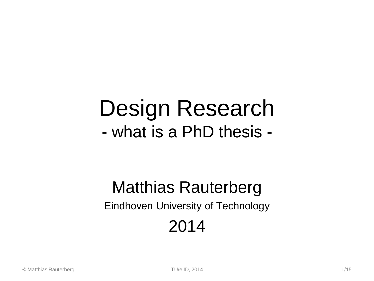# Design Research - what is a PhD thesis -

## Matthias Rauterberg Eindhoven University of Technology 2014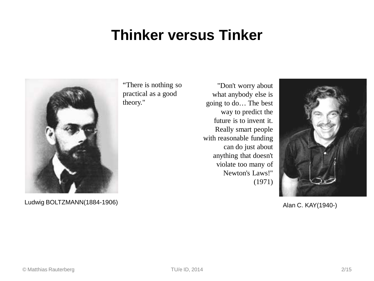#### **Thinker versus Tinker**



Ludwig BOLTZMANN(1884-1906)

"There is nothing so practical as a good theory."

"Don't worry about what anybody else is going to do… The best way to predict the future is to invent it. Really smart people with reasonable funding can do just about anything that doesn't violate too many of Newton's Laws!" (1971)



Alan C. KAY(1940-)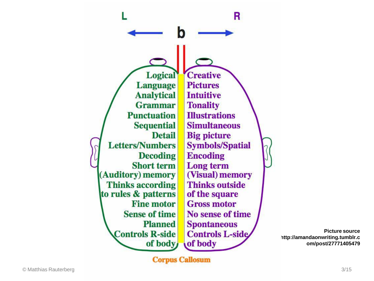**Logical Language Analytical Grammar Punctuation Sequential Detail Letters/Numbers Decoding Short term** (Auditory) memory **Thinks according** to rules & patterns **Fine motor Sense of time Planned Controls R-side** of body

**Creative Pictures Intuitive Tonality Illustrations Simultaneous Big picture Symbols/Spatial Encoding** Long term (Visual) memory **Thinks outside** of the square **Gross motor** No sense of time **Spontaneous Controls L-side** of body

R

**Picture source http://amandaonwriting.tumblr.c om/post/27771405479**

**Corpus Callosum**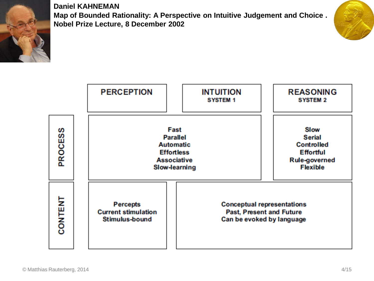

**Daniel KAHNEMAN Map of Bounded Rationality: A Perspective on Intuitive Judgement and Choice . Nobel Prize Lecture, 8 December 2002**



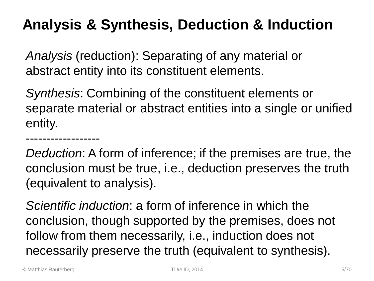### **Analysis & Synthesis, Deduction & Induction**

*Analysis* (reduction): Separating of any material or abstract entity into its constituent elements.

*Synthesis*: Combining of the constituent elements or separate material or abstract entities into a single or unified entity.

*Deduction*: A form of inference; if the premises are true, the conclusion must be true, i.e., deduction preserves the truth (equivalent to analysis).

*Scientific induction*: a form of inference in which the conclusion, though supported by the premises, does not follow from them necessarily, i.e., induction does not necessarily preserve the truth (equivalent to synthesis).

------------------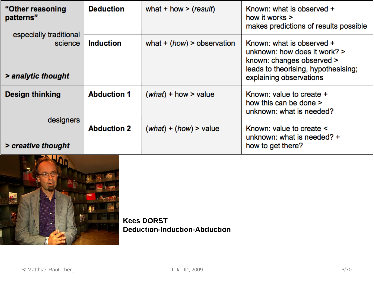| "Other reasoning<br>patterns"                             | <b>Deduction</b>   | what + how > $(result)$      | Known: what is observed +<br>how it works $>$<br>makes predictions of results possible                                                                   |
|-----------------------------------------------------------|--------------------|------------------------------|----------------------------------------------------------------------------------------------------------------------------------------------------------|
| especially traditional<br>science<br>> analytic thought   | <b>Induction</b>   | what $+$ (how) > observation | Known: what is observed +<br>unknown: how does it work? ><br>known: changes observed ><br>leads to theorising, hypothesising;<br>explaining observations |
| <b>Design thinking</b><br>designers<br>> creative thought | <b>Abduction 1</b> | $(what)$ + how > value       | Known: value to create +<br>how this can be done ><br>unknown: what is needed?                                                                           |
|                                                           | <b>Abduction 2</b> | $(what) + (how) > value$     | Known: value to create <<br>unknown: what is needed? $+$<br>how to get there?                                                                            |



**Kees DORST Deduction-Induction-Abduction**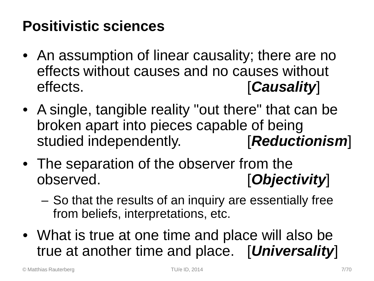#### **Positivistic sciences**

- An assumption of linear causality; there are no effects without causes and no causes without effects. [*Causality*]
- A single, tangible reality "out there" that can be broken apart into pieces capable of being studied independently. [*Reductionism*]
- The separation of the observer from the observed. [*Objectivity*]
	- So that the results of an inquiry are essentially free from beliefs, interpretations, etc.
- What is true at one time and place will also be true at another time and place. [*Universality*]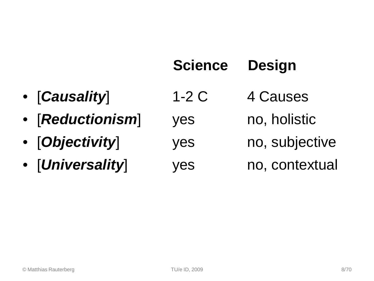|                  | <b>Science</b> | <b>Design</b>  |
|------------------|----------------|----------------|
| • [Causality]    | $1-2C$         | 4 Causes       |
| • [Reductionism] | <b>yes</b>     | no, holistic   |
| • [Objectivity]  | yes            | no, subjective |
| · [Universality] | yes            | no, contextual |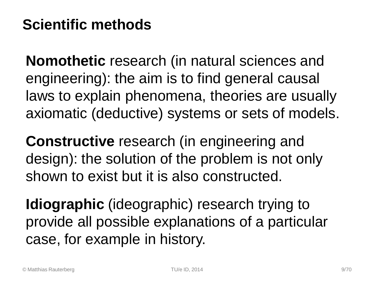### **Scientific methods**

**Nomothetic** research (in natural sciences and engineering): the aim is to find general causal laws to explain phenomena, theories are usually axiomatic (deductive) systems or sets of models.

**Constructive** research (in engineering and design): the solution of the problem is not only shown to exist but it is also constructed.

**Idiographic** (ideographic) research trying to provide all possible explanations of a particular case, for example in history.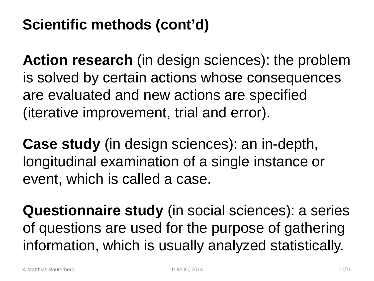## **Scientific methods (cont'd)**

**Action research** (in design sciences): the problem is solved by certain actions whose consequences are evaluated and new actions are specified (iterative improvement, trial and error).

**Case study** (in design sciences): an in-depth, longitudinal examination of a single instance or event, which is called a case.

**Questionnaire study** (in social sciences): a series of questions are used for the purpose of gathering information, which is usually analyzed statistically.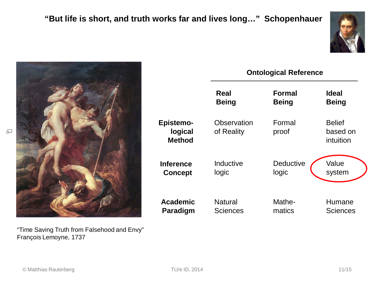



"Time Saving Truth from Falsehood and Envy" François Lemoyne, 1737

|                                              | <b>Ontological Reference</b> |                  |                                        |  |  |
|----------------------------------------------|------------------------------|------------------|----------------------------------------|--|--|
|                                              | Real                         | <b>Formal</b>    | <b>Ideal</b>                           |  |  |
|                                              | <b>Being</b>                 | <b>Being</b>     | <b>Being</b>                           |  |  |
| <b>Epistemo-</b><br>logical<br><b>Method</b> | Observation<br>of Reality    | Formal<br>proof  | <b>Belief</b><br>based on<br>intuition |  |  |
| <b>Inference</b>                             | Inductive                    | <b>Deductive</b> | Value                                  |  |  |
| <b>Concept</b>                               | logic                        | logic            | system                                 |  |  |
| <b>Academic</b>                              | <b>Natural</b>               | Mathe-           | Humane                                 |  |  |
| Paradigm                                     | Sciences                     | matics           | <b>Sciences</b>                        |  |  |

品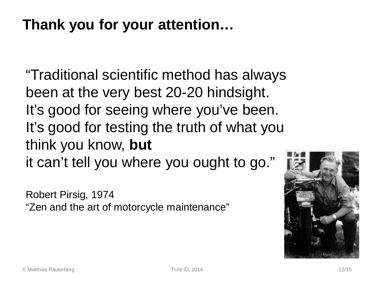#### **Thank you for your attention…**

"Traditional scientific method has always been at the very best 20-20 hindsight. It's good for seeing where you've been. It's good for testing the truth of what you think you know, **but** it can't tell you where you ought to go."

Robert Pirsig, 1974 "Zen and the art of motorcycle maintenance"

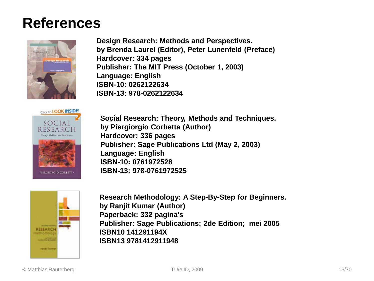#### **References**



**Design Research: Methods and Perspectives. by Brenda Laurel (Editor), Peter Lunenfeld (Preface) Hardcover: 334 pages Publisher: The MIT Press (October 1, 2003) Language: English ISBN-10: 0262122634 ISBN-13: 978-0262122634** 



**Social Research: Theory, Methods and Techniques. by Piergiorgio Corbetta (Author) Hardcover: 336 pages Publisher: Sage Publications Ltd (May 2, 2003) Language: English ISBN-10: 0761972528 ISBN-13: 978-0761972525** 



**Research Methodology: A Step-By-Step for Beginners. by Ranjit Kumar (Author) Paperback: 332 pagina's Publisher: Sage Publications; 2de Edition; mei 2005 ISBN10 141291194X ISBN13 9781412911948**